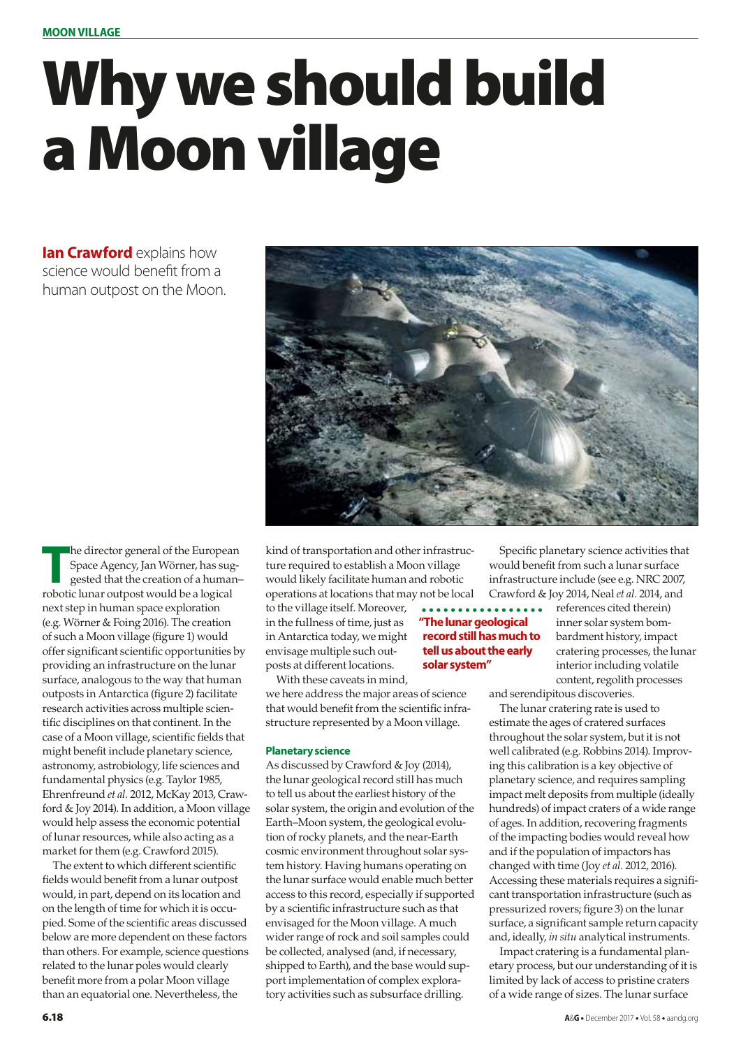# Why we should build a Moon village

**Ian Crawford** explains how science would benefit from a human outpost on the Moon.



**The director general of the European<br>Space Agency, Jan Wörner, has suggested that the creation of a human-<br>report would be a locical** Space Agency, Jan Wörner, has suggested that the creation of a human– robotic lunar outpost would be a logical next step in human space exploration (e.g. Wörner & Foing 2016). The creation of such a Moon village (figure 1) would offer significant scientific opportunities by providing an infrastructure on the lunar surface, analogous to the way that human outposts in Antarctica (figure 2) facilitate research activities across multiple scientific disciplines on that continent. In the case of a Moon village, scientific fields that might benefit include planetary science, astronomy, astrobiology, life sciences and fundamental physics (e.g. Taylor 1985, Ehrenfreund *et al.* 2012, McKay 2013, Crawford & Joy 2014). In addition, a Moon village would help assess the economic potential of lunar resources, while also acting as a market for them (e.g. Crawford 2015).

The extent to which different scientific fields would benefit from a lunar outpost would, in part, depend on its location and on the length of time for which it is occupied. Some of the scientific areas discussed below are more dependent on these factors than others. For example, science questions related to the lunar poles would clearly benefit more from a polar Moon village than an equatorial one. Nevertheless, the

kind of transportation and other infrastructure required to establish a Moon village would likely facilitate human and robotic operations at locations that may not be local

to the village itself. Moreover, in the fullness of time, just as in Antarctica today, we might envisage multiple such outposts at different locations.

With these caveats in mind, we here address the major areas of science that would benefit from the scientific infrastructure represented by a Moon village.

# **Planetary science**

As discussed by Crawford & Joy (2014), the lunar geological record still has much to tell us about the earliest history of the solar system, the origin and evolution of the Earth–Moon system, the geological evolution of rocky planets, and the near-Earth cosmic environment throughout solar system history. Having humans operating on the lunar surface would enable much better access to this record, especially if supported by a scientific infrastructure such as that envisaged for the Moon village. A much wider range of rock and soil samples could be collected, analysed (and, if necessary, shipped to Earth), and the base would support implementation of complex exploratory activities such as subsurface drilling.

Specific planetary science activities that would benefit from such a lunar surface infrastructure include (see e.g. NRC 2007, Crawford & Joy 2014, Neal *et al.* 2014, and

## . . . . . . . . . . . . . . . . . . **"The lunar geological record still has much to tell us about the early solar system"**

references cited therein) inner solar system bombardment history, impact cratering processes, the lunar interior including volatile content, regolith processes

and serendipitous discoveries.

The lunar cratering rate is used to estimate the ages of cratered surfaces throughout the solar system, but it is not well calibrated (e.g. Robbins 2014). Improving this calibration is a key objective of planetary science, and requires sampling impact melt deposits from multiple (ideally hundreds) of impact craters of a wide range of ages. In addition, recovering fragments of the impacting bodies would reveal how and if the population of impactors has changed with time (Joy *et al.* 2012, 2016). Accessing these materials requires a significant transportation infrastructure (such as pressurized rovers; figure 3) on the lunar surface, a significant sample return capacity and, ideally, *in situ* analytical instruments.

Impact cratering is a fundamental planetary process, but our understanding of it is limited by lack of access to pristine craters of a wide range of sizes. The lunar surface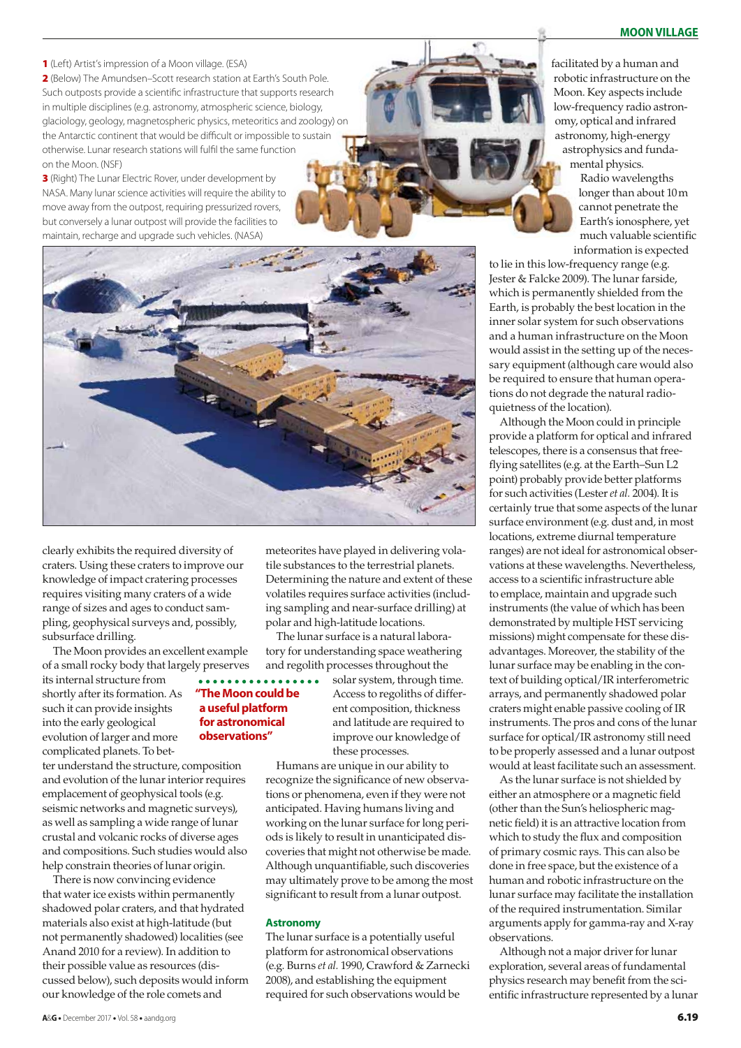**MOON VILLAGE**

1 (Left) Artist's impression of a Moon village. (ESA) 2 (Below) The Amundsen–Scott research station at Earth's South Pole. Such outposts provide a scientific infrastructure that supports research in multiple disciplines (e.g. astronomy, atmospheric science, biology, glaciology, geology, magnetospheric physics, meteoritics and zoology) on the Antarctic continent that would be difficult or impossible to sustain otherwise. Lunar research stations will fulfil the same function on the Moon. (NSF)

3 (Right) The Lunar Electric Rover, under development by NASA. Many lunar science activities will require the ability to move away from the outpost, requiring pressurized rovers, but conversely a lunar outpost will provide the facilities to maintain, recharge and upgrade such vehicles. (NASA)



clearly exhibits the required diversity of craters. Using these craters to improve our knowledge of impact cratering processes requires visiting many craters of a wide range of sizes and ages to conduct sampling, geophysical surveys and, possibly, subsurface drilling.

The Moon provides an excellent example of a small rocky body that largely preserves

its internal structure from shortly after its formation. As such it can provide insights into the early geological evolution of larger and more complicated planets. To bet-

ter understand the structure, composition and evolution of the lunar interior requires emplacement of geophysical tools (e.g. seismic networks and magnetic surveys), as well as sampling a wide range of lunar crustal and volcanic rocks of diverse ages and compositions. Such studies would also help constrain theories of lunar origin.

There is now convincing evidence that water ice exists within permanently shadowed polar craters, and that hydrated materials also exist at high-latitude (but not permanently shadowed) localities (see Anand 2010 for a review). In addition to their possible value as resources (discussed below), such deposits would inform our knowledge of the role comets and

meteorites have played in delivering volatile substances to the terrestrial planets. Determining the nature and extent of these volatiles requires surface activities (including sampling and near-surface drilling) at polar and high-latitude locations.

The lunar surface is a natural laboratory for understanding space weathering and regolith processes throughout the

. . . . . . . . . . . . **"The Moon could be a useful platform for astronomical observations"**

solar system, through time. Access to regoliths of different composition, thickness and latitude are required to improve our knowledge of these processes.

Humans are unique in our ability to recognize the significance of new observations or phenomena, even if they were not anticipated. Having humans living and working on the lunar surface for long periods is likely to result in unanticipated discoveries that might not otherwise be made. Although unquantifiable, such discoveries may ultimately prove to be among the most significant to result from a lunar outpost.

## **Astronomy**

The lunar surface is a potentially useful platform for astronomical observations (e.g. Burns *et al.* 1990, Crawford & Zarnecki 2008), and establishing the equipment required for such observations would be

facilitated by a human and robotic infrastructure on the Moon. Key aspects include low-frequency radio astronomy, optical and infrared astronomy, high-energy astrophysics and funda-

mental physics. Radio wavelengths

longer than about 10m cannot penetrate the Earth's ionosphere, yet much valuable scientific information is expected

to lie in this low-frequency range (e.g. Jester & Falcke 2009). The lunar farside, which is permanently shielded from the Earth, is probably the best location in the inner solar system for such observations and a human infrastructure on the Moon would assist in the setting up of the necessary equipment (although care would also be required to ensure that human operations do not degrade the natural radioquietness of the location).

Although the Moon could in principle provide a platform for optical and infrared telescopes, there is a consensus that freeflying satellites (e.g. at the Earth–Sun L2 point) probably provide better platforms for such activities (Lester *et al.* 2004). It is certainly true that some aspects of the lunar surface environment (e.g. dust and, in most locations, extreme diurnal temperature ranges) are not ideal for astronomical observations at these wavelengths. Nevertheless, access to a scientific infrastructure able to emplace, maintain and upgrade such instruments (the value of which has been demonstrated by multiple HST servicing missions) might compensate for these disadvantages. Moreover, the stability of the lunar surface may be enabling in the context of building optical/IR interferometric arrays, and permanently shadowed polar craters might enable passive cooling of IR instruments. The pros and cons of the lunar surface for optical/IR astronomy still need to be properly assessed and a lunar outpost would at least facilitate such an assessment.

As the lunar surface is not shielded by either an atmosphere or a magnetic field (other than the Sun's heliospheric magnetic field) it is an attractive location from which to study the flux and composition of primary cosmic rays. This can also be done in free space, but the existence of a human and robotic infrastructure on the lunar surface may facilitate the installation of the required instrumentation. Similar arguments apply for gamma-ray and X-ray observations.

Although not a major driver for lunar exploration, several areas of fundamental physics research may benefit from the scientific infrastructure represented by a lunar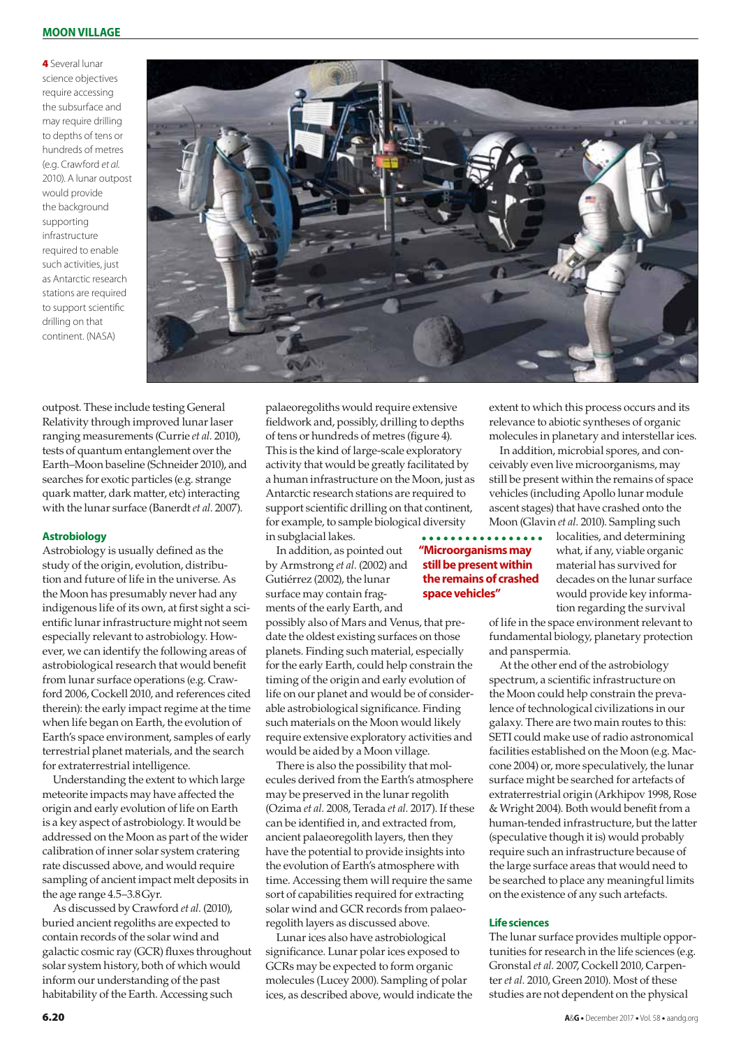# **MOON VILLAGE**

4 Several lunar science objectives require accessing the subsurface and may require drilling to depths of tens or hundreds of metres (e.g. Crawford *et al.* 2010). A lunar outpost would provide the background supporting infrastructure required to enable such activities, just as Antarctic research stations are required to support scientific drilling on that continent. (NASA)



outpost. These include testing General Relativity through improved lunar laser ranging measurements (Currie *et al.* 2010), tests of quantum entanglement over the Earth–Moon baseline (Schneider 2010), and searches for exotic particles (e.g. strange quark matter, dark matter, etc) interacting with the lunar surface (Banerdt *et al.* 2007).

### **Astrobiology**

Astrobiology is usually defined as the study of the origin, evolution, distribution and future of life in the universe. As the Moon has presumably never had any indigenous life of its own, at first sight a scientific lunar infrastructure might not seem especially relevant to astrobiology. However, we can identify the following areas of astrobiological research that would benefit from lunar surface operations (e.g. Crawford 2006, Cockell 2010, and references cited therein): the early impact regime at the time when life began on Earth, the evolution of Earth's space environment, samples of early terrestrial planet materials, and the search for extraterrestrial intelligence.

Understanding the extent to which large meteorite impacts may have affected the origin and early evolution of life on Earth is a key aspect of astrobiology. It would be addressed on the Moon as part of the wider calibration of inner solar system cratering rate discussed above, and would require sampling of ancient impact melt deposits in the age range 4.5–3.8Gyr.

As discussed by Crawford *et al.* (2010), buried ancient regoliths are expected to contain records of the solar wind and galactic cosmic ray (GCR) fluxes throughout solar system history, both of which would inform our understanding of the past habitability of the Earth. Accessing such

palaeoregoliths would require extensive fieldwork and, possibly, drilling to depths of tens or hundreds of metres (figure 4). This is the kind of large-scale exploratory activity that would be greatly facilitated by a human infrastructure on the Moon, just as Antarctic research stations are required to support scientific drilling on that continent, for example, to sample biological diversity in subglacial lakes. ................

In addition, as pointed out by Armstrong *et al.* (2002) and Gutiérrez (2002), the lunar surface may contain fragments of the early Earth, and possibly also of Mars and Venus, that predate the oldest existing surfaces on those planets. Finding such material, especially for the early Earth, could help constrain the timing of the origin and early evolution of life on our planet and would be of considerable astrobiological significance. Finding such materials on the Moon would likely require extensive exploratory activities and would be aided by a Moon village. **space vehicles"**

There is also the possibility that molecules derived from the Earth's atmosphere may be preserved in the lunar regolith (Ozima *et al.* 2008, Terada *et al.* 2017). If these can be identified in, and extracted from, ancient palaeoregolith layers, then they have the potential to provide insights into the evolution of Earth's atmosphere with time. Accessing them will require the same sort of capabilities required for extracting solar wind and GCR records from palaeoregolith layers as discussed above.

Lunar ices also have astrobiological significance. Lunar polar ices exposed to GCRs may be expected to form organic molecules (Lucey 2000). Sampling of polar ices, as described above, would indicate the extent to which this process occurs and its relevance to abiotic syntheses of organic molecules in planetary and interstellar ices.

In addition, microbial spores, and conceivably even live microorganisms, may still be present within the remains of space vehicles (including Apollo lunar module ascent stages) that have crashed onto the Moon (Glavin *et al.* 2010). Sampling such

localities, and determining what, if any, viable organic material has survived for decades on the lunar surface would provide key informa-**"Microorganisms may still be present within the remains of crashed** 

tion regarding the survival of life in the space environment relevant to fundamental biology, planetary protection and panspermia.

At the other end of the astrobiology spectrum, a scientific infrastructure on the Moon could help constrain the prevalence of technological civilizations in our galaxy. There are two main routes to this: SETI could make use of radio astronomical facilities established on the Moon (e.g. Maccone 2004) or, more speculatively, the lunar surface might be searched for artefacts of extraterrestrial origin (Arkhipov 1998, Rose & Wright 2004). Both would benefit from a human-tended infrastructure, but the latter (speculative though it is) would probably require such an infrastructure because of the large surface areas that would need to be searched to place any meaningful limits on the existence of any such artefacts.

## **Life sciences**

The lunar surface provides multiple opportunities for research in the life sciences (e.g. Gronstal *et al.* 2007, Cockell 2010, Carpenter *et al.* 2010, Green 2010). Most of these studies are not dependent on the physical